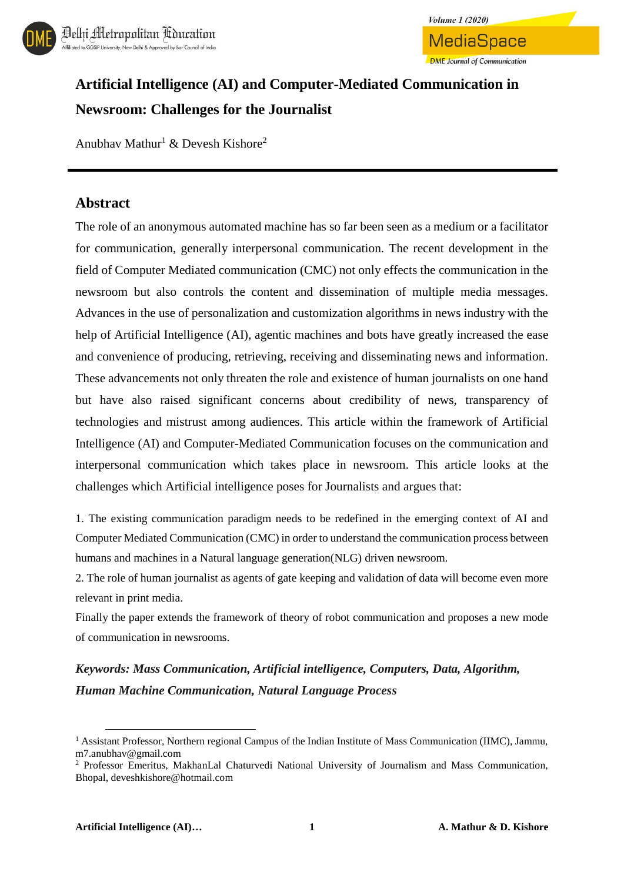



# **Artificial Intelligence (AI) and Computer-Mediated Communication in Newsroom: Challenges for the Journalist**

Anubhav Mathur<sup>1</sup> & Devesh Kishore<sup>2</sup>

#### **Abstract**

The role of an anonymous automated machine has so far been seen as a medium or a facilitator for communication, generally interpersonal communication. The recent development in the field of Computer Mediated communication (CMC) not only effects the communication in the newsroom but also controls the content and dissemination of multiple media messages. Advances in the use of personalization and customization algorithms in news industry with the help of Artificial Intelligence (AI), agentic machines and bots have greatly increased the ease and convenience of producing, retrieving, receiving and disseminating news and information. These advancements not only threaten the role and existence of human journalists on one hand but have also raised significant concerns about credibility of news, transparency of technologies and mistrust among audiences. This article within the framework of Artificial Intelligence (AI) and Computer-Mediated Communication focuses on the communication and interpersonal communication which takes place in newsroom. This article looks at the challenges which Artificial intelligence poses for Journalists and argues that:

1. The existing communication paradigm needs to be redefined in the emerging context of AI and Computer Mediated Communication (CMC) in order to understand the communication process between humans and machines in a Natural language generation(NLG) driven newsroom.

2. The role of human journalist as agents of gate keeping and validation of data will become even more relevant in print media.

Finally the paper extends the framework of theory of robot communication and proposes a new mode of communication in newsrooms.

*Keywords: Mass Communication, Artificial intelligence, Computers, Data, Algorithm, Human Machine Communication, Natural Language Process*

l

<sup>&</sup>lt;sup>1</sup> Assistant Professor, Northern regional Campus of the Indian Institute of Mass Communication (IIMC), Jammu, m7.anubhav@gmail.com

<sup>2</sup> Professor Emeritus, MakhanLal Chaturvedi National University of Journalism and Mass Communication, Bhopal, deveshkishore@hotmail.com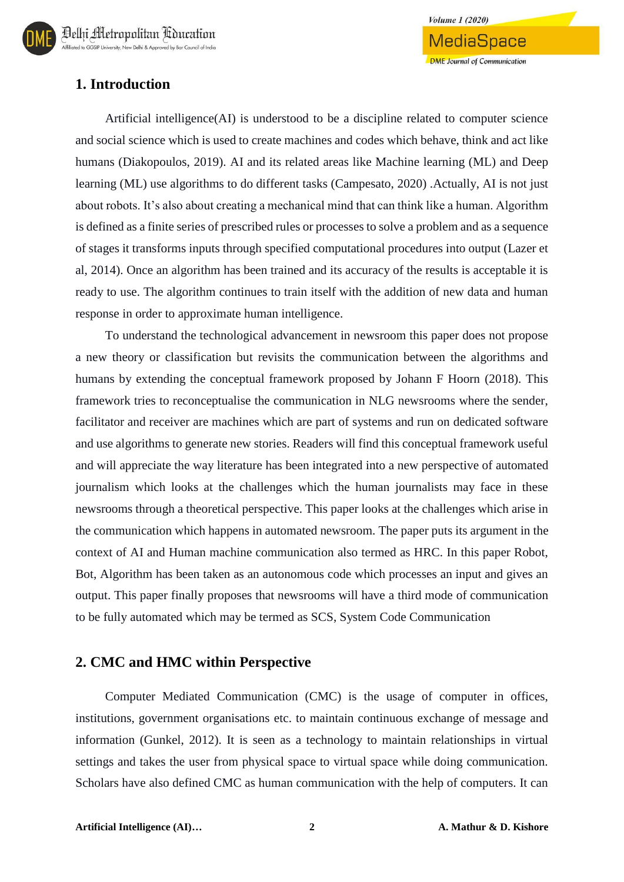# **1. Introduction**

Artificial intelligence(AI) is understood to be a discipline related to computer science and social science which is used to create machines and codes which behave, think and act like humans (Diakopoulos, 2019). AI and its related areas like Machine learning (ML) and Deep learning (ML) use algorithms to do different tasks (Campesato, 2020) .Actually, AI is not just about robots. It's also about creating a mechanical mind that can think like a human. Algorithm is defined as a finite series of prescribed rules or processes to solve a problem and as a sequence of stages it transforms inputs through specified computational procedures into output (Lazer et al, 2014). Once an algorithm has been trained and its accuracy of the results is acceptable it is ready to use. The algorithm continues to train itself with the addition of new data and human response in order to approximate human intelligence.

**Volume 1 (2020)** 

**MediaSpace** 

**DMF** Journal of Communication

To understand the technological advancement in newsroom this paper does not propose a new theory or classification but revisits the communication between the algorithms and humans by extending the conceptual framework proposed by Johann F Hoorn (2018). This framework tries to reconceptualise the communication in NLG newsrooms where the sender, facilitator and receiver are machines which are part of systems and run on dedicated software and use algorithms to generate new stories. Readers will find this conceptual framework useful and will appreciate the way literature has been integrated into a new perspective of automated journalism which looks at the challenges which the human journalists may face in these newsrooms through a theoretical perspective. This paper looks at the challenges which arise in the communication which happens in automated newsroom. The paper puts its argument in the context of AI and Human machine communication also termed as HRC. In this paper Robot, Bot, Algorithm has been taken as an autonomous code which processes an input and gives an output. This paper finally proposes that newsrooms will have a third mode of communication to be fully automated which may be termed as SCS, System Code Communication

#### **2. CMC and HMC within Perspective**

Computer Mediated Communication (CMC) is the usage of computer in offices, institutions, government organisations etc. to maintain continuous exchange of message and information (Gunkel, 2012). It is seen as a technology to maintain relationships in virtual settings and takes the user from physical space to virtual space while doing communication. Scholars have also defined CMC as human communication with the help of computers. It can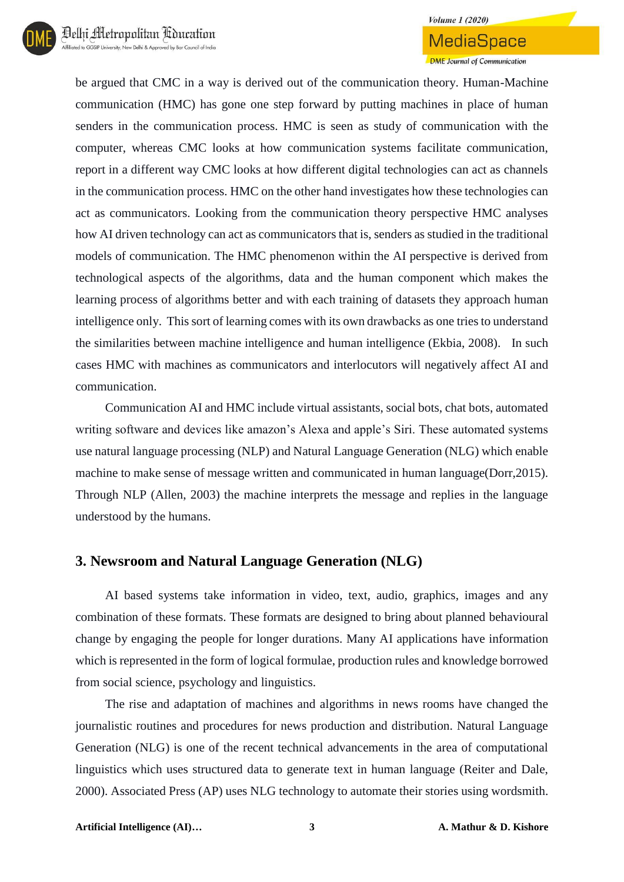

#### **Volume 1 (2020)**

MediaSpace **DME** Journal of Communication

be argued that CMC in a way is derived out of the communication theory. Human-Machine communication (HMC) has gone one step forward by putting machines in place of human senders in the communication process. HMC is seen as study of communication with the computer, whereas CMC looks at how communication systems facilitate communication, report in a different way CMC looks at how different digital technologies can act as channels in the communication process. HMC on the other hand investigates how these technologies can act as communicators. Looking from the communication theory perspective HMC analyses how AI driven technology can act as communicators that is, senders as studied in the traditional models of communication. The HMC phenomenon within the AI perspective is derived from technological aspects of the algorithms, data and the human component which makes the learning process of algorithms better and with each training of datasets they approach human intelligence only. This sort of learning comes with its own drawbacks as one tries to understand the similarities between machine intelligence and human intelligence (Ekbia, 2008). In such cases HMC with machines as communicators and interlocutors will negatively affect AI and communication.

Communication AI and HMC include virtual assistants, social bots, chat bots, automated writing software and devices like amazon's Alexa and apple's Siri. These automated systems use natural language processing (NLP) and Natural Language Generation (NLG) which enable machine to make sense of message written and communicated in human language(Dorr,2015). Through NLP (Allen, 2003) the machine interprets the message and replies in the language understood by the humans.

#### **3. Newsroom and Natural Language Generation (NLG)**

AI based systems take information in video, text, audio, graphics, images and any combination of these formats. These formats are designed to bring about planned behavioural change by engaging the people for longer durations. Many AI applications have information which is represented in the form of logical formulae, production rules and knowledge borrowed from social science, psychology and linguistics.

The rise and adaptation of machines and algorithms in news rooms have changed the journalistic routines and procedures for news production and distribution. Natural Language Generation (NLG) is one of the recent technical advancements in the area of computational linguistics which uses structured data to generate text in human language (Reiter and Dale, 2000). Associated Press (AP) uses NLG technology to automate their stories using wordsmith.

**Artificial Intelligence (AI)… 3 A. Mathur & D. Kishore**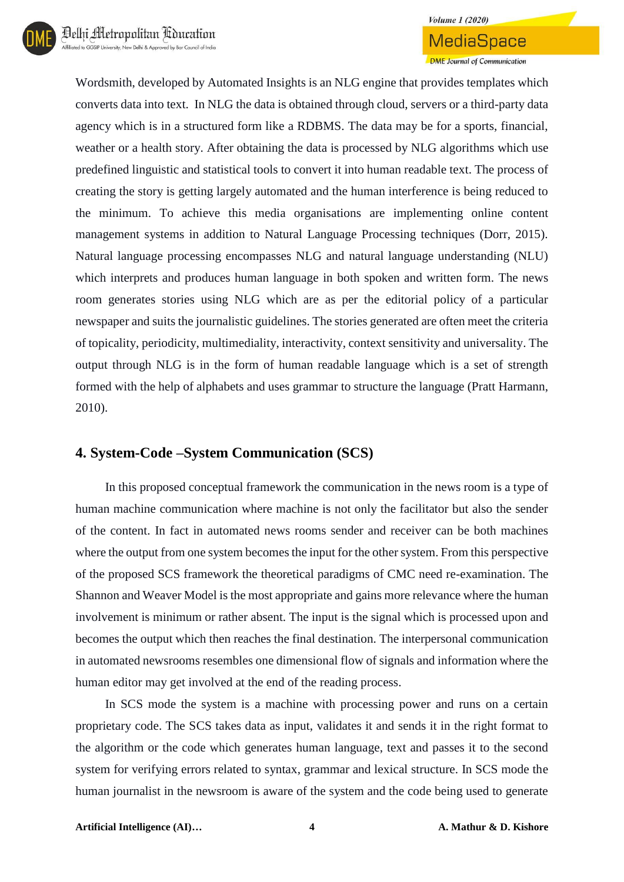

**DME Journal of Communication** 

Wordsmith, developed by Automated Insights is an NLG engine that provides templates which converts data into text. In NLG the data is obtained through cloud, servers or a third-party data agency which is in a structured form like a RDBMS. The data may be for a sports, financial, weather or a health story. After obtaining the data is processed by NLG algorithms which use predefined linguistic and statistical tools to convert it into human readable text. The process of creating the story is getting largely automated and the human interference is being reduced to the minimum. To achieve this media organisations are implementing online content management systems in addition to Natural Language Processing techniques (Dorr, 2015). Natural language processing encompasses NLG and natural language understanding (NLU) which interprets and produces human language in both spoken and written form. The news room generates stories using NLG which are as per the editorial policy of a particular newspaper and suits the journalistic guidelines. The stories generated are often meet the criteria of topicality, periodicity, multimediality, interactivity, context sensitivity and universality. The output through NLG is in the form of human readable language which is a set of strength formed with the help of alphabets and uses grammar to structure the language (Pratt Harmann, 2010).

### **4. System-Code –System Communication (SCS)**

In this proposed conceptual framework the communication in the news room is a type of human machine communication where machine is not only the facilitator but also the sender of the content. In fact in automated news rooms sender and receiver can be both machines where the output from one system becomes the input for the other system. From this perspective of the proposed SCS framework the theoretical paradigms of CMC need re-examination. The Shannon and Weaver Model is the most appropriate and gains more relevance where the human involvement is minimum or rather absent. The input is the signal which is processed upon and becomes the output which then reaches the final destination. The interpersonal communication in automated newsrooms resembles one dimensional flow of signals and information where the human editor may get involved at the end of the reading process.

In SCS mode the system is a machine with processing power and runs on a certain proprietary code. The SCS takes data as input, validates it and sends it in the right format to the algorithm or the code which generates human language, text and passes it to the second system for verifying errors related to syntax, grammar and lexical structure. In SCS mode the human journalist in the newsroom is aware of the system and the code being used to generate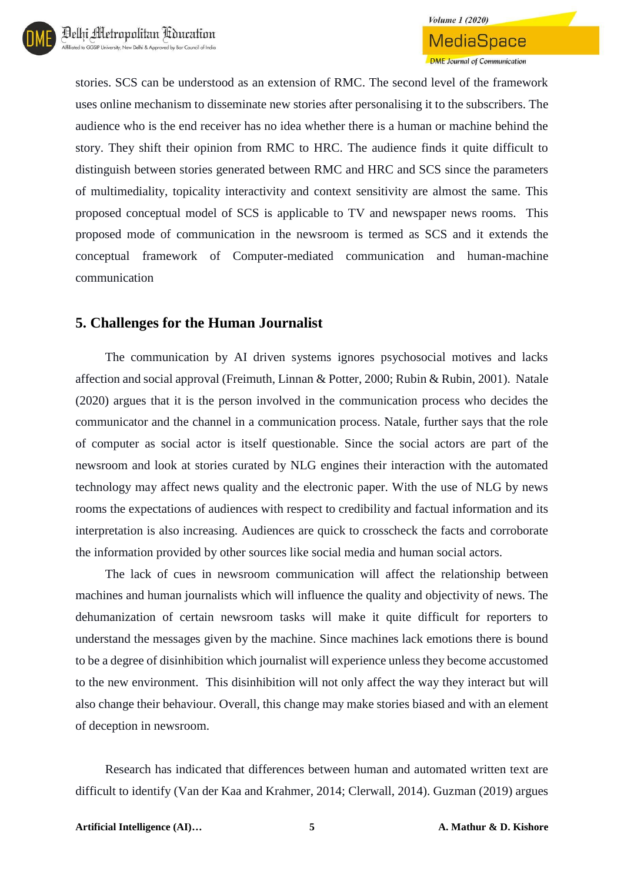stories. SCS can be understood as an extension of RMC. The second level of the framework uses online mechanism to disseminate new stories after personalising it to the subscribers. The audience who is the end receiver has no idea whether there is a human or machine behind the story. They shift their opinion from RMC to HRC. The audience finds it quite difficult to distinguish between stories generated between RMC and HRC and SCS since the parameters of multimediality, topicality interactivity and context sensitivity are almost the same. This proposed conceptual model of SCS is applicable to TV and newspaper news rooms. This proposed mode of communication in the newsroom is termed as SCS and it extends the conceptual framework of Computer-mediated communication and human-machine communication

### **5. Challenges for the Human Journalist**

The communication by AI driven systems ignores psychosocial motives and lacks affection and social approval (Freimuth, Linnan & Potter, 2000; Rubin & Rubin, 2001). Natale (2020) argues that it is the person involved in the communication process who decides the communicator and the channel in a communication process. Natale, further says that the role of computer as social actor is itself questionable. Since the social actors are part of the newsroom and look at stories curated by NLG engines their interaction with the automated technology may affect news quality and the electronic paper. With the use of NLG by news rooms the expectations of audiences with respect to credibility and factual information and its interpretation is also increasing. Audiences are quick to crosscheck the facts and corroborate the information provided by other sources like social media and human social actors.

The lack of cues in newsroom communication will affect the relationship between machines and human journalists which will influence the quality and objectivity of news. The dehumanization of certain newsroom tasks will make it quite difficult for reporters to understand the messages given by the machine. Since machines lack emotions there is bound to be a degree of disinhibition which journalist will experience unless they become accustomed to the new environment. This disinhibition will not only affect the way they interact but will also change their behaviour. Overall, this change may make stories biased and with an element of deception in newsroom.

Research has indicated that differences between human and automated written text are difficult to identify (Van der Kaa and Krahmer, 2014; Clerwall, 2014). Guzman (2019) argues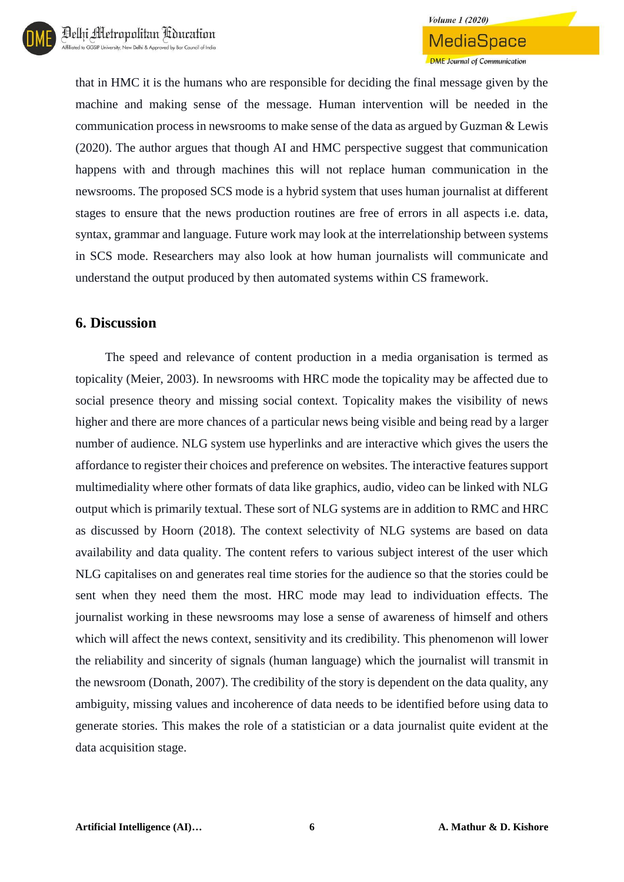that in HMC it is the humans who are responsible for deciding the final message given by the machine and making sense of the message. Human intervention will be needed in the communication process in newsrooms to make sense of the data as argued by Guzman & Lewis (2020). The author argues that though AI and HMC perspective suggest that communication happens with and through machines this will not replace human communication in the newsrooms. The proposed SCS mode is a hybrid system that uses human journalist at different stages to ensure that the news production routines are free of errors in all aspects i.e. data, syntax, grammar and language. Future work may look at the interrelationship between systems in SCS mode. Researchers may also look at how human journalists will communicate and understand the output produced by then automated systems within CS framework.

#### **6. Discussion**

The speed and relevance of content production in a media organisation is termed as topicality (Meier, 2003). In newsrooms with HRC mode the topicality may be affected due to social presence theory and missing social context. Topicality makes the visibility of news higher and there are more chances of a particular news being visible and being read by a larger number of audience. NLG system use hyperlinks and are interactive which gives the users the affordance to register their choices and preference on websites. The interactive features support multimediality where other formats of data like graphics, audio, video can be linked with NLG output which is primarily textual. These sort of NLG systems are in addition to RMC and HRC as discussed by Hoorn (2018). The context selectivity of NLG systems are based on data availability and data quality. The content refers to various subject interest of the user which NLG capitalises on and generates real time stories for the audience so that the stories could be sent when they need them the most. HRC mode may lead to individuation effects. The journalist working in these newsrooms may lose a sense of awareness of himself and others which will affect the news context, sensitivity and its credibility. This phenomenon will lower the reliability and sincerity of signals (human language) which the journalist will transmit in the newsroom (Donath, 2007). The credibility of the story is dependent on the data quality, any ambiguity, missing values and incoherence of data needs to be identified before using data to generate stories. This makes the role of a statistician or a data journalist quite evident at the data acquisition stage.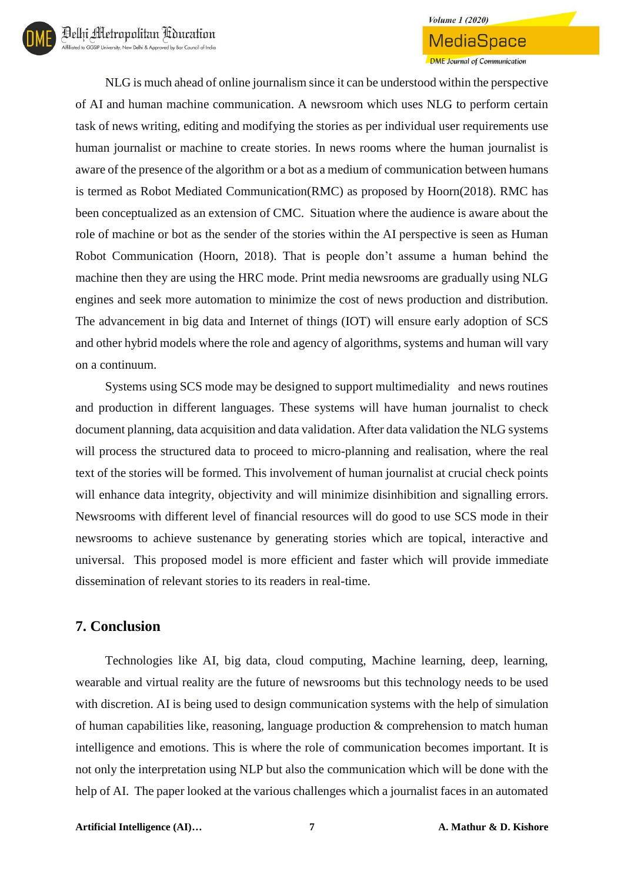MediaSpace

**DME Journal of Communication** 

NLG is much ahead of online journalism since it can be understood within the perspective of AI and human machine communication. A newsroom which uses NLG to perform certain task of news writing, editing and modifying the stories as per individual user requirements use human journalist or machine to create stories. In news rooms where the human journalist is aware of the presence of the algorithm or a bot as a medium of communication between humans is termed as Robot Mediated Communication(RMC) as proposed by Hoorn(2018). RMC has been conceptualized as an extension of CMC. Situation where the audience is aware about the role of machine or bot as the sender of the stories within the AI perspective is seen as Human Robot Communication (Hoorn, 2018). That is people don't assume a human behind the machine then they are using the HRC mode. Print media newsrooms are gradually using NLG engines and seek more automation to minimize the cost of news production and distribution. The advancement in big data and Internet of things (IOT) will ensure early adoption of SCS and other hybrid models where the role and agency of algorithms, systems and human will vary on a continuum.

Systems using SCS mode may be designed to support multimediality and news routines and production in different languages. These systems will have human journalist to check document planning, data acquisition and data validation. After data validation the NLG systems will process the structured data to proceed to micro-planning and realisation, where the real text of the stories will be formed. This involvement of human journalist at crucial check points will enhance data integrity, objectivity and will minimize disinhibition and signalling errors. Newsrooms with different level of financial resources will do good to use SCS mode in their newsrooms to achieve sustenance by generating stories which are topical, interactive and universal. This proposed model is more efficient and faster which will provide immediate dissemination of relevant stories to its readers in real-time.

#### **7. Conclusion**

Technologies like AI, big data, cloud computing, Machine learning, deep, learning, wearable and virtual reality are the future of newsrooms but this technology needs to be used with discretion. AI is being used to design communication systems with the help of simulation of human capabilities like, reasoning, language production & comprehension to match human intelligence and emotions. This is where the role of communication becomes important. It is not only the interpretation using NLP but also the communication which will be done with the help of AI. The paper looked at the various challenges which a journalist faces in an automated

**Artificial Intelligence (AI)… 7 A. Mathur & D. Kishore**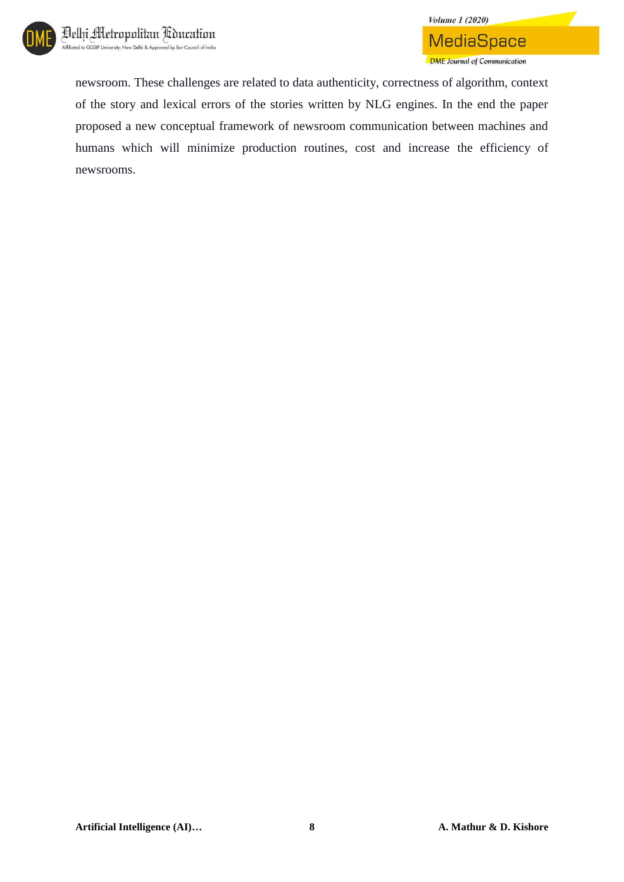

newsroom. These challenges are related to data authenticity, correctness of algorithm, context of the story and lexical errors of the stories written by NLG engines. In the end the paper proposed a new conceptual framework of newsroom communication between machines and humans which will minimize production routines, cost and increase the efficiency of newsrooms.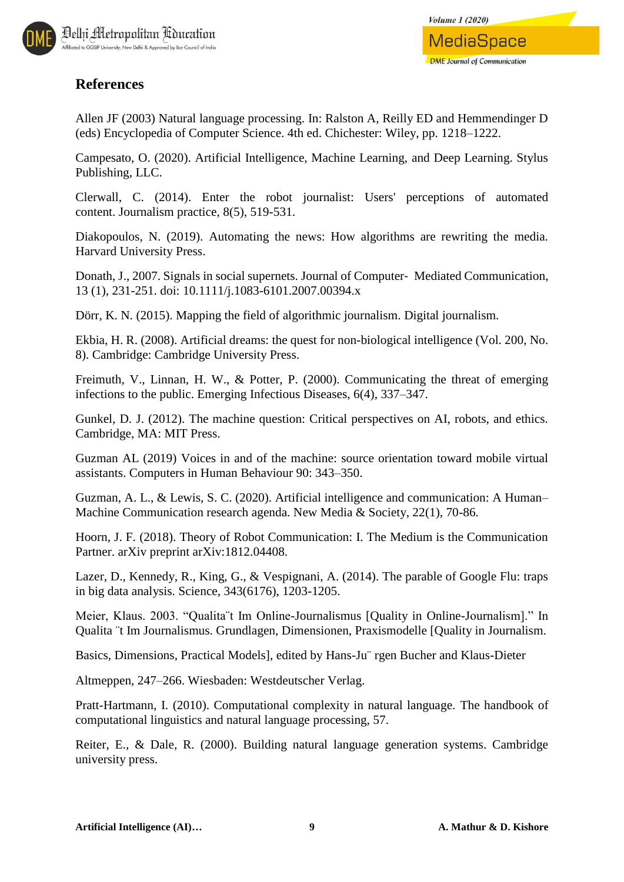

### **References**

Allen JF (2003) Natural language processing. In: Ralston A, Reilly ED and Hemmendinger D (eds) Encyclopedia of Computer Science. 4th ed. Chichester: Wiley, pp. 1218–1222.

Campesato, O. (2020). Artificial Intelligence, Machine Learning, and Deep Learning. Stylus Publishing, LLC.

Clerwall, C. (2014). Enter the robot journalist: Users' perceptions of automated content. Journalism practice, 8(5), 519-531.

Diakopoulos, N. (2019). Automating the news: How algorithms are rewriting the media. Harvard University Press.

Donath, J., 2007. Signals in social supernets. Journal of Computer‐ Mediated Communication, 13 (1), 231-251. doi: 10.1111/j.1083-6101.2007.00394.x

Dörr, K. N. (2015). Mapping the field of algorithmic journalism. Digital journalism.

Ekbia, H. R. (2008). Artificial dreams: the quest for non-biological intelligence (Vol. 200, No. 8). Cambridge: Cambridge University Press.

Freimuth, V., Linnan, H. W., & Potter, P. (2000). Communicating the threat of emerging infections to the public. Emerging Infectious Diseases, 6(4), 337–347.

Gunkel, D. J. (2012). The machine question: Critical perspectives on AI, robots, and ethics. Cambridge, MA: MIT Press.

Guzman AL (2019) Voices in and of the machine: source orientation toward mobile virtual assistants. Computers in Human Behaviour 90: 343–350.

Guzman, A. L., & Lewis, S. C. (2020). Artificial intelligence and communication: A Human– Machine Communication research agenda. New Media & Society, 22(1), 70-86.

Hoorn, J. F. (2018). Theory of Robot Communication: I. The Medium is the Communication Partner. arXiv preprint arXiv:1812.04408.

Lazer, D., Kennedy, R., King, G., & Vespignani, A. (2014). The parable of Google Flu: traps in big data analysis. Science, 343(6176), 1203-1205.

Meier, Klaus. 2003. "Qualita¨t Im Online-Journalismus [Quality in Online-Journalism]." In Qualita ¨t Im Journalismus. Grundlagen, Dimensionen, Praxismodelle [Quality in Journalism.

Basics, Dimensions, Practical Models], edited by Hans-Ju¨ rgen Bucher and Klaus-Dieter

Altmeppen, 247–266. Wiesbaden: Westdeutscher Verlag.

Pratt-Hartmann, I. (2010). Computational complexity in natural language. The handbook of computational linguistics and natural language processing, 57.

Reiter, E., & Dale, R. (2000). Building natural language generation systems. Cambridge university press.